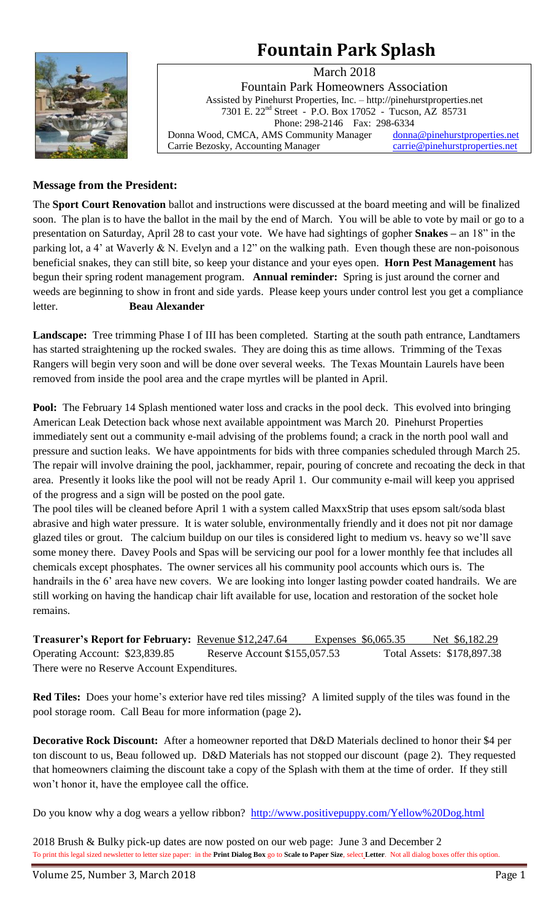# **Fountain Park Splash**



March 2018 Fountain Park Homeowners Association Assisted by Pinehurst Properties, Inc. – http://pinehurstproperties.net 7301 E. 22nd Street - P.O. Box 17052 - Tucson, AZ 85731 Phone: 298-2146 Fax: 298-6334 Donna Wood, CMCA, AMS Community Manager [donna@pinehurstproperties.net](mailto:donna@pinehurstproperties.net) Carrie Bezosky, Accounting Manager [carrie@pinehurstproperties.net](mailto:carrie@pinehurstproperties.net)

# **Message from the President:**

The **Sport Court Renovation** ballot and instructions were discussed at the board meeting and will be finalized soon. The plan is to have the ballot in the mail by the end of March. You will be able to vote by mail or go to a presentation on Saturday, April 28 to cast your vote. We have had sightings of gopher **Snakes –** an 18" in the parking lot, a 4' at Waverly & N. Evelyn and a 12" on the walking path. Even though these are non-poisonous beneficial snakes, they can still bite, so keep your distance and your eyes open. **Horn Pest Management** has begun their spring rodent management program. **Annual reminder:** Spring is just around the corner and weeds are beginning to show in front and side yards. Please keep yours under control lest you get a compliance letter. **Beau Alexander**

**Landscape:** Tree trimming Phase I of III has been completed. Starting at the south path entrance, Landtamers has started straightening up the rocked swales. They are doing this as time allows. Trimming of the Texas Rangers will begin very soon and will be done over several weeks. The Texas Mountain Laurels have been removed from inside the pool area and the crape myrtles will be planted in April.

**Pool:** The February 14 Splash mentioned water loss and cracks in the pool deck. This evolved into bringing American Leak Detection back whose next available appointment was March 20. Pinehurst Properties immediately sent out a community e-mail advising of the problems found; a crack in the north pool wall and pressure and suction leaks. We have appointments for bids with three companies scheduled through March 25. The repair will involve draining the pool, jackhammer, repair, pouring of concrete and recoating the deck in that area. Presently it looks like the pool will not be ready April 1. Our community e-mail will keep you apprised of the progress and a sign will be posted on the pool gate.

The pool tiles will be cleaned before April 1 with a system called MaxxStrip that uses epsom salt/soda blast abrasive and high water pressure. It is water soluble, environmentally friendly and it does not pit nor damage glazed tiles or grout. The calcium buildup on our tiles is considered light to medium vs. heavy so we'll save some money there. Davey Pools and Spas will be servicing our pool for a lower monthly fee that includes all chemicals except phosphates. The owner services all his community pool accounts which ours is. The handrails in the 6' area have new covers. We are looking into longer lasting powder coated handrails. We are still working on having the handicap chair lift available for use, location and restoration of the socket hole remains.

**Treasurer's Report for February:** Revenue \$12,247.64 Expenses \$6,065.35 Net \$6,182.29 Operating Account: \$23,839.85 Reserve Account \$155,057.53 Total Assets: \$178,897.38 There were no Reserve Account Expenditures.

**Red Tiles:** Does your home's exterior have red tiles missing? A limited supply of the tiles was found in the pool storage room. Call Beau for more information (page 2)**.** 

**Decorative Rock Discount:** After a homeowner reported that D&D Materials declined to honor their \$4 per ton discount to us, Beau followed up. D&D Materials has not stopped our discount (page 2). They requested that homeowners claiming the discount take a copy of the Splash with them at the time of order. If they still won't honor it, have the employee call the office.

Do you know why a dog wears a yellow ribbon? <http://www.positivepuppy.com/Yellow%20Dog.html>

2018 Brush & Bulky pick-up dates are now posted on our web page: June 3 and December 2 To print this legal sized newsletter to letter size paper: in the **Print Dialog Box** go to **Scale to Paper Size**, select **Letter**. Not all dialog boxes offer this option.